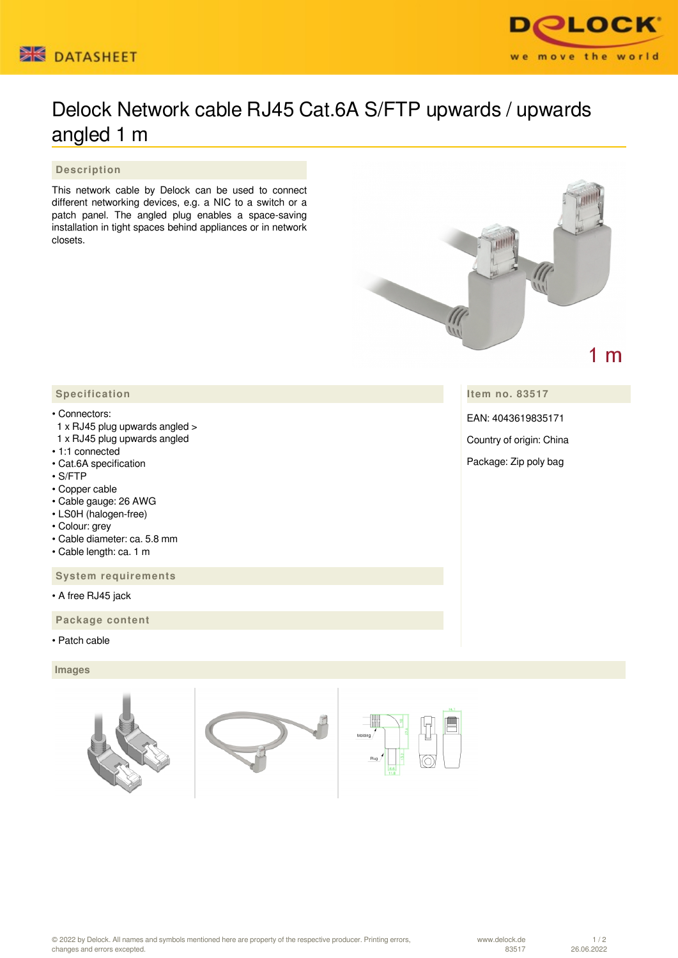



# Delock Network cable RJ45 Cat.6A S/FTP upwards / upwards angled 1 m

 **Description**

This network cable by Delock can be used to connect different networking devices, e.g. a NIC to a switch or a patch panel. The angled plug enables a space-saving installation in tight spaces behind appliances or in network closets.



**Item no. 83517**

EAN: 4043619835171

Country of origin: China

Package: Zip poly bag

# **Specification**

### • Connectors:

- 1 x RJ45 plug upwards angled >
- 1 x RJ45 plug upwards angled
- 1:1 connected
- Cat.6A specification
- S/FTP
- Copper cable
- Cable gauge: 26 AWG
- LS0H (halogen-free)
- Colour: grey
- Cable diameter: ca. 5.8 mm
- Cable length: ca. 1 m

 **System requirements**

• A free RJ45 jack

 **Package content**

• Patch cable

## **Images**